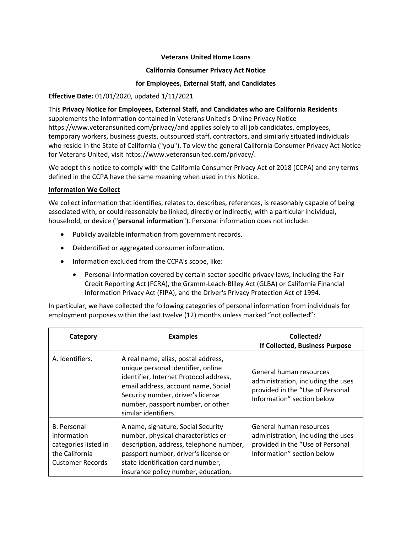### **Veterans United Home Loans**

### **California Consumer Privacy Act Notice**

## **for Employees, External Staff, and Candidates**

### **Effective Date:** 01/01/2020, updated 1/11/2021

This **Privacy Notice for Employees, External Staff, and Candidates who are California Residents** supplements the information contained in Veterans United's Online Privacy Notice [https://www.veteransunited.com/privacy/a](https://www.veteransunited.com/privacy/)nd applies solely to all job candidates, employees, temporary workers, business guests, outsourced staff, contractors, and similarly situated individuals who reside in the State of California ("you"). To view the general California Consumer Privacy Act Notice for Veterans United, visit [https://www.veteransunited.com/privacy/.](https://www.veteransunited.com/privacy/)

We adopt this notice to comply with the California Consumer Privacy Act of 2018 (CCPA) and any terms defined in the CCPA have the same meaning when used in this Notice.

#### **Information We Collect**

We collect information that identifies, relates to, describes, references, is reasonably capable of being associated with, or could reasonably be linked, directly or indirectly, with a particular individual, household, or device ("**personal information**"). Personal information does not include:

- Publicly available information from government records.
- Deidentified or aggregated consumer information.
- Information excluded from the CCPA's scope, like:
	- Personal information covered by certain sector-specific privacy laws, including the Fair Credit Reporting Act (FCRA), the Gramm-Leach-Bliley Act (GLBA) or California Financial Information Privacy Act (FIPA), and the Driver's Privacy Protection Act of 1994.

In particular, we have collected the following categories of personal information from individuals for employment purposes within the last twelve (12) months unless marked "not collected":

| Category                                                                                               | <b>Examples</b>                                                                                                                                                                                                                                              | Collected?<br>If Collected, Business Purpose                                                                                    |
|--------------------------------------------------------------------------------------------------------|--------------------------------------------------------------------------------------------------------------------------------------------------------------------------------------------------------------------------------------------------------------|---------------------------------------------------------------------------------------------------------------------------------|
| A. Identifiers.                                                                                        | A real name, alias, postal address,<br>unique personal identifier, online<br>identifier, Internet Protocol address,<br>email address, account name, Social<br>Security number, driver's license<br>number, passport number, or other<br>similar identifiers. | General human resources<br>administration, including the uses<br>provided in the "Use of Personal<br>Information" section below |
| <b>B.</b> Personal<br>information<br>categories listed in<br>the California<br><b>Customer Records</b> | A name, signature, Social Security<br>number, physical characteristics or<br>description, address, telephone number,<br>passport number, driver's license or<br>state identification card number,<br>insurance policy number, education,                     | General human resources<br>administration, including the uses<br>provided in the "Use of Personal<br>Information" section below |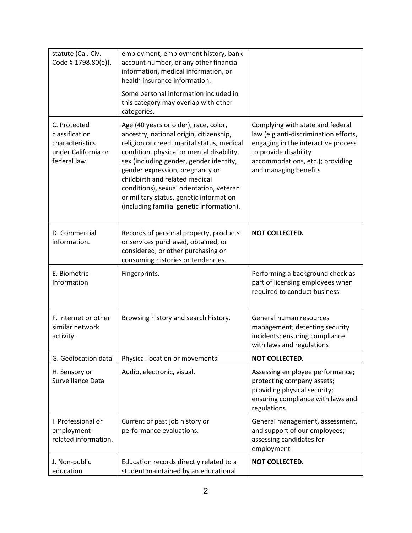| statute (Cal. Civ.<br>Code § 1798.80(e)).                                                | employment, employment history, bank<br>account number, or any other financial<br>information, medical information, or<br>health insurance information.<br>Some personal information included in<br>this category may overlap with other                                                                                                                                                                                                       |                                                                                                                                                                                                        |
|------------------------------------------------------------------------------------------|------------------------------------------------------------------------------------------------------------------------------------------------------------------------------------------------------------------------------------------------------------------------------------------------------------------------------------------------------------------------------------------------------------------------------------------------|--------------------------------------------------------------------------------------------------------------------------------------------------------------------------------------------------------|
| C. Protected<br>classification<br>characteristics<br>under California or<br>federal law. | categories.<br>Age (40 years or older), race, color,<br>ancestry, national origin, citizenship,<br>religion or creed, marital status, medical<br>condition, physical or mental disability,<br>sex (including gender, gender identity,<br>gender expression, pregnancy or<br>childbirth and related medical<br>conditions), sexual orientation, veteran<br>or military status, genetic information<br>(including familial genetic information). | Complying with state and federal<br>law (e.g anti-discrimination efforts,<br>engaging in the interactive process<br>to provide disability<br>accommodations, etc.); providing<br>and managing benefits |
| D. Commercial<br>information.                                                            | Records of personal property, products<br>or services purchased, obtained, or<br>considered, or other purchasing or<br>consuming histories or tendencies.                                                                                                                                                                                                                                                                                      | NOT COLLECTED.                                                                                                                                                                                         |
| E. Biometric<br>Information                                                              | Fingerprints.                                                                                                                                                                                                                                                                                                                                                                                                                                  | Performing a background check as<br>part of licensing employees when<br>required to conduct business                                                                                                   |
| F. Internet or other<br>similar network<br>activity.                                     | Browsing history and search history.                                                                                                                                                                                                                                                                                                                                                                                                           | General human resources<br>management; detecting security<br>incidents; ensuring compliance<br>with laws and regulations                                                                               |
| G. Geolocation data.                                                                     | Physical location or movements.                                                                                                                                                                                                                                                                                                                                                                                                                | NOT COLLECTED.                                                                                                                                                                                         |
| H. Sensory or<br>Surveillance Data                                                       | Audio, electronic, visual.                                                                                                                                                                                                                                                                                                                                                                                                                     | Assessing employee performance;<br>protecting company assets;<br>providing physical security;<br>ensuring compliance with laws and<br>regulations                                                      |
| I. Professional or<br>employment-<br>related information.                                | Current or past job history or<br>performance evaluations.                                                                                                                                                                                                                                                                                                                                                                                     | General management, assessment,<br>and support of our employees;<br>assessing candidates for<br>employment                                                                                             |
| J. Non-public<br>education                                                               | Education records directly related to a<br>student maintained by an educational                                                                                                                                                                                                                                                                                                                                                                | NOT COLLECTED.                                                                                                                                                                                         |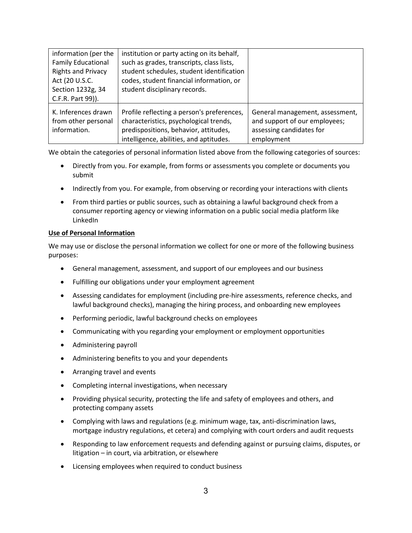| information (per the<br><b>Family Educational</b><br><b>Rights and Privacy</b><br>Act (20 U.S.C.<br>Section 1232g, 34<br>C.F.R. Part 99)). | institution or party acting on its behalf,<br>such as grades, transcripts, class lists,<br>student schedules, student identification<br>codes, student financial information, or<br>student disciplinary records. |                                                                                                            |
|--------------------------------------------------------------------------------------------------------------------------------------------|-------------------------------------------------------------------------------------------------------------------------------------------------------------------------------------------------------------------|------------------------------------------------------------------------------------------------------------|
| K. Inferences drawn<br>from other personal<br>information.                                                                                 | Profile reflecting a person's preferences,<br>characteristics, psychological trends,<br>predispositions, behavior, attitudes,<br>intelligence, abilities, and aptitudes.                                          | General management, assessment,<br>and support of our employees;<br>assessing candidates for<br>employment |

We obtain the categories of personal information listed above from the following categories of sources:

- Directly from you. For example, from forms or assessments you complete or documents you submit
- Indirectly from you. For example, from observing or recording your interactions with clients
- From third parties or public sources, such as obtaining a lawful background check from a consumer reporting agency or viewing information on a public social media platform like LinkedIn

#### **Use of Personal Information**

We may use or disclose the personal information we collect for one or more of the following business purposes:

- General management, assessment, and support of our employees and our business
- Fulfilling our obligations under your employment agreement
- Assessing candidates for employment (including pre-hire assessments, reference checks, and lawful background checks), managing the hiring process, and onboarding new employees
- Performing periodic, lawful background checks on employees
- Communicating with you regarding your employment or employment opportunities
- Administering payroll
- Administering benefits to you and your dependents
- Arranging travel and events
- Completing internal investigations, when necessary
- Providing physical security, protecting the life and safety of employees and others, and protecting company assets
- Complying with laws and regulations (e.g. minimum wage, tax, anti-discrimination laws, mortgage industry regulations, et cetera) and complying with court orders and audit requests
- Responding to law enforcement requests and defending against or pursuing claims, disputes, or litigation – in court, via arbitration, or elsewhere
- Licensing employees when required to conduct business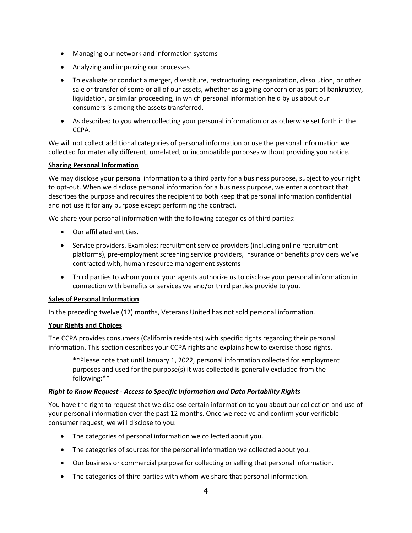- Managing our network and information systems
- Analyzing and improving our processes
- To evaluate or conduct a merger, divestiture, restructuring, reorganization, dissolution, or other sale or transfer of some or all of our assets, whether as a going concern or as part of bankruptcy, liquidation, or similar proceeding, in which personal information held by us about our consumers is among the assets transferred.
- As described to you when collecting your personal information or as otherwise set forth in the CCPA.

We will not collect additional categories of personal information or use the personal information we collected for materially different, unrelated, or incompatible purposes without providing you notice.

### **Sharing Personal Information**

We may disclose your personal information to a third party for a business purpose, subject to your right to opt-out. When we disclose personal information for a business purpose, we enter a contract that describes the purpose and requires the recipient to both keep that personal information confidential and not use it for any purpose except performing the contract.

We share your personal information with the following categories of third parties:

- Our affiliated entities.
- Service providers. Examples: recruitment service providers (including online recruitment platforms), pre-employment screening service providers, insurance or benefits providers we've contracted with, human resource management systems
- Third parties to whom you or your agents authorize us to disclose your personal information in connection with benefits or services we and/or third parties provide to you.

#### **Sales of Personal Information**

In the preceding twelve (12) months, Veterans United has not sold personal information.

#### **Your Rights and Choices**

The CCPA provides consumers (California residents) with specific rights regarding their personal information. This section describes your CCPA rights and explains how to exercise those rights.

\*\*Please note that until January 1, 2022, personal information collected for employment purposes and used for the purpose(s) it was collected is generally excluded from the following:\*\*

#### *Right to Know Request - Access to Specific Information and Data Portability Rights*

You have the right to request that we disclose certain information to you about our collection and use of your personal information over the past 12 months. Once we receive and confirm your verifiable consumer request, we will disclose to you:

- The categories of personal information we collected about you.
- The categories of sources for the personal information we collected about you.
- Our business or commercial purpose for collecting or selling that personal information.
- The categories of third parties with whom we share that personal information.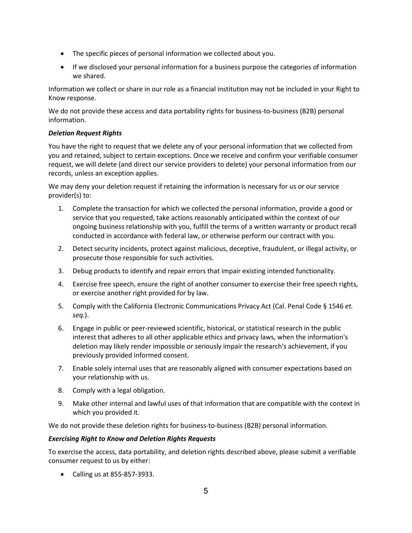- The specific pieces of personal information we collected about you.
- If we disclosed your personal information for a business purpose the categories of information we shared.

Information we collect or share in our role as a financial institution may not be included in your Right to Know response.

We do not provide these access and data portability rights for business-to-business (B2B) personal information.

## *Deletion Request Rights*

You have the right to request that we delete any of your personal information that we collected from you and retained, subject to certain exceptions. Once we receive and confirm your verifiable consumer request, we will delete (and direct our service providers to delete) your personal information from our records, unless an exception applies.

We may deny your deletion request if retaining the information is necessary for us or our service provider(s) to:

- 1. Complete the transaction for which we collected the personal information, provide a good or service that you requested, take actions reasonably anticipated within the context of our ongoing business relationship with you, fulfill the terms of a written warranty or product recall conducted in accordance with federal law, or otherwise perform our contract with you.
- 2. Detect security incidents, protect against malicious, deceptive, fraudulent, or illegal activity, or prosecute those responsible for such activities.
- 3. Debug products to identify and repair errors that impair existing intended functionality.
- 4. Exercise free speech, ensure the right of another consumer to exercise their free speech rights, or exercise another right provided for by law.
- 5. Comply with the California Electronic Communications Privacy Act (Cal. Penal Code § 1546 *et. seq.*).
- 6. Engage in public or peer-reviewed scientific, historical, or statistical research in the public interest that adheres to all other applicable ethics and privacy laws, when the information's deletion may likely render impossible or seriously impair the research's achievement, if you previously provided informed consent.
- 7. Enable solely internal uses that are reasonably aligned with consumer expectations based on your relationship with us.
- 8. Comply with a legal obligation.
- 9. Make other internal and lawful uses of that information that are compatible with the context in which you provided it.

We do not provide these deletion rights for business-to-business (B2B) personal information.

# *Exercising Right to Know and Deletion Rights Requests*

To exercise the access, data portability, and deletion rights described above, please submit a verifiable consumer request to us by either:

• Calling us at 855-857-3933.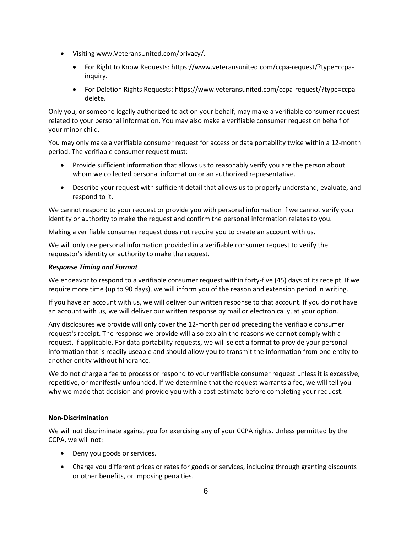- Visiting [www.VeteransUnited.com/privacy/.](http://www.veteransunited.com/privacy)
	- For Right to Know Requests[: https://www.veteransunited.com/ccpa-request/?type=ccpa](https://www.veteransunited.com/ccpa-request/?type=ccpa-inquiry)[inquiry.](https://www.veteransunited.com/ccpa-request/?type=ccpa-inquiry)
	- For Deletion Rights Requests: [https://www.veteransunited.com/ccpa-request/?type=ccpa](https://www.veteransunited.com/ccpa-request/?type=ccpa-delete)[delete.](https://www.veteransunited.com/ccpa-request/?type=ccpa-delete)

Only you, or someone legally authorized to act on your behalf, may make a verifiable consumer request related to your personal information. You may also make a verifiable consumer request on behalf of your minor child.

You may only make a verifiable consumer request for access or data portability twice within a 12-month period. The verifiable consumer request must:

- Provide sufficient information that allows us to reasonably verify you are the person about whom we collected personal information or an authorized representative.
- Describe your request with sufficient detail that allows us to properly understand, evaluate, and respond to it.

We cannot respond to your request or provide you with personal information if we cannot verify your identity or authority to make the request and confirm the personal information relates to you.

Making a verifiable consumer request does not require you to create an account with us.

We will only use personal information provided in a verifiable consumer request to verify the requestor's identity or authority to make the request.

#### *Response Timing and Format*

We endeavor to respond to a verifiable consumer request within forty-five (45) days of its receipt. If we require more time (up to 90 days), we will inform you of the reason and extension period in writing.

If you have an account with us, we will deliver our written response to that account. If you do not have an account with us, we will deliver our written response by mail or electronically, at your option.

Any disclosures we provide will only cover the 12-month period preceding the verifiable consumer request's receipt. The response we provide will also explain the reasons we cannot comply with a request, if applicable. For data portability requests, we will select a format to provide your personal information that is readily useable and should allow you to transmit the information from one entity to another entity without hindrance.

We do not charge a fee to process or respond to your verifiable consumer request unless it is excessive, repetitive, or manifestly unfounded. If we determine that the request warrants a fee, we will tell you why we made that decision and provide you with a cost estimate before completing your request.

# **Non-Discrimination**

We will not discriminate against you for exercising any of your CCPA rights. Unless permitted by the CCPA, we will not:

- Deny you goods or services.
- Charge you different prices or rates for goods or services, including through granting discounts or other benefits, or imposing penalties.